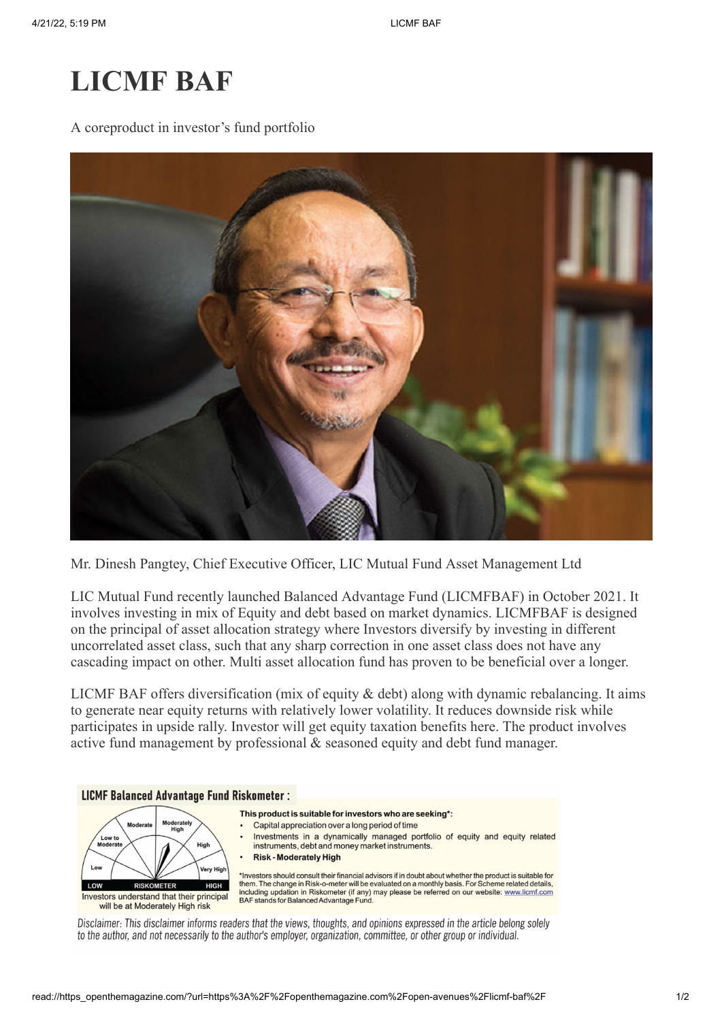# **LICMF BAF**

# A coreproduct in investor's fund portfolio



Mr. Dinesh Pangtey, Chief Executive Officer, LIC Mutual Fund Asset Management Ltd

LIC Mutual Fund recently launched Balanced Advantage Fund (LICMFBAF) in October 2021. It involves investing in mix of Equity and debt based on market dynamics. LICMFBAF is designed on the principal of asset allocation strategy where Investors diversify by investing in different uncorrelated asset class, such that any sharp correction in one asset class does not have any cascading impact on other. Multi asset allocation fund has proven to be beneficial over a longer.

LICMF BAF offers diversification (mix of equity  $\&$  debt) along with dynamic rebalancing. It aims to generate near equity returns with relatively lower volatility. It reduces downside risk while participates in upside rally. Investor will get equity taxation benefits here. The product involves active fund management by professional & seasoned equity and debt fund manager.